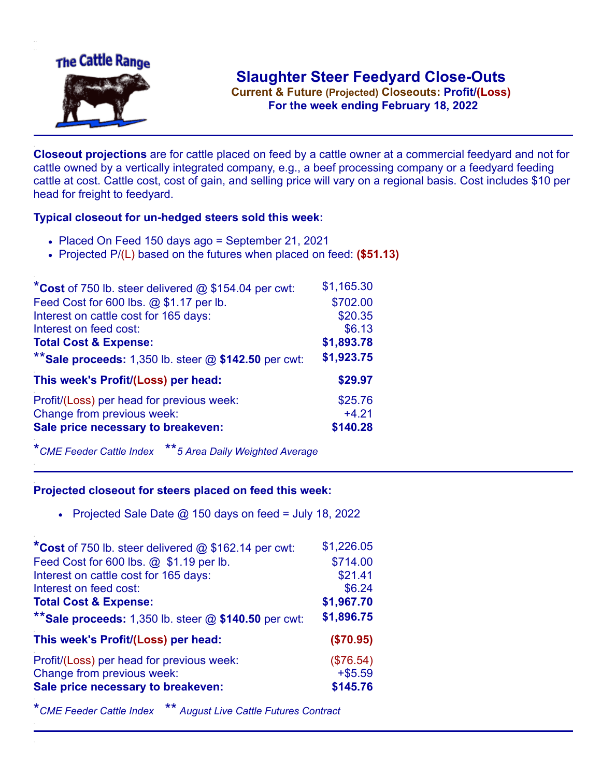

**Current & Future (Projected) Closeouts: Profit/(Loss)** .**For the week ending February 18, 2022**

**Closeout projections** are for cattle placed on feed by a cattle owner at a commercial feedyard and not for cattle owned by a vertically integrated company, e.g., a beef processing company or a feedyard feeding cattle at cost. Cattle cost, cost of gain, and selling price will vary on a regional basis. Cost includes \$10 per head for freight to feedyard.

## **Typical closeout for un-hedged steers sold this week:**

- Placed On Feed 150 days ago = September 21, 2021
- Projected P/(L) based on the futures when placed on feed: **(\$51.13)**

| *Cost of 750 lb. steer delivered $@$ \$154.04 per cwt:  | \$1,165.30 |
|---------------------------------------------------------|------------|
| Feed Cost for 600 lbs. @ \$1.17 per lb.                 | \$702.00   |
| Interest on cattle cost for 165 days:                   | \$20.35    |
| Interest on feed cost:                                  | \$6.13     |
| <b>Total Cost &amp; Expense:</b>                        | \$1,893.78 |
| ** Sale proceeds: 1,350 lb. steer $@$ \$142.50 per cwt: | \$1,923.75 |
| This week's Profit/(Loss) per head:                     | \$29.97    |
| Profit/(Loss) per head for previous week:               | \$25.76    |
| Change from previous week:                              | $+4.21$    |
| Sale price necessary to breakeven:                      | \$140.28   |

\**CME Feeder Cattle Index* \*\**5 Area Daily Weighted Average*

## **Projected closeout for steers placed on feed this week:**

• Projected Sale Date  $@$  150 days on feed = July 18, 2022

| *Cost of 750 lb. steer delivered @ \$162.14 per cwt:      | \$1,226.05 |
|-----------------------------------------------------------|------------|
| Feed Cost for 600 lbs. @ \$1.19 per lb.                   | \$714.00   |
| Interest on cattle cost for 165 days:                     | \$21.41    |
| Interest on feed cost:                                    | \$6.24     |
| <b>Total Cost &amp; Expense:</b>                          | \$1,967.70 |
| ** Sale proceeds: $1,350$ lb. steer $@$ \$140.50 per cwt: | \$1,896.75 |
| This week's Profit/(Loss) per head:                       | (\$70.95)  |
| Profit/(Loss) per head for previous week:                 | (\$76.54)  |
| Change from previous week:                                | $+ $5.59$  |
| Sale price necessary to breakeven:                        | \$145.76   |

\**CME Feeder Cattle Index* \*\* *August Live Cattle Futures Contract*